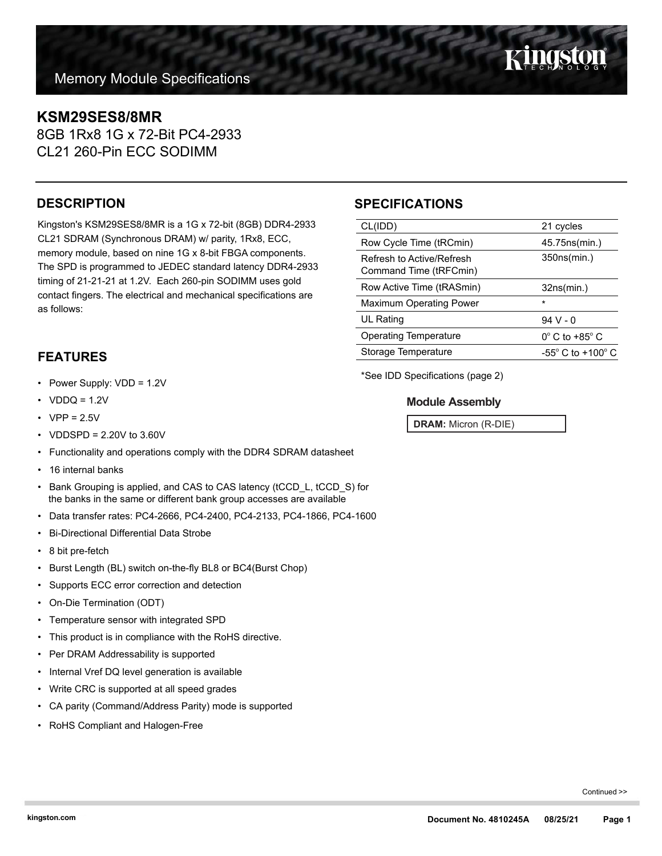## **KSM29SES8/8MR**

8GB 1Rx8 1G x 72-Bit PC4-2933 CL21 260-Pin ECC SODIMM

## **DESCRIPTION**

Kingston's KSM29SES8/8MR is a 1G x 72-bit (8GB) DDR4-2933 CL21 SDRAM (Synchronous DRAM) w/ parity, 1Rx8, ECC, memory module, based on nine 1G x 8-bit FBGA components. The SPD is programmed to JEDEC standard latency DDR4-2933 timing of 21-21-21 at 1.2V. Each 260-pin SODIMM uses gold contact fingers. The electrical and mechanical specifications are as follows:

## **FEATURES**

- Power Supply: VDD = 1.2V
- $VDDQ = 1.2V$
- $VPP = 2.5V$
- VDDSPD = 2.20V to 3.60V
- Functionality and operations comply with the DDR4 SDRAM datasheet
- 16 internal banks
- Bank Grouping is applied, and CAS to CAS latency (tCCD\_L, tCCD\_S) for the banks in the same or different bank group accesses are available
- Data transfer rates: PC4-2666, PC4-2400, PC4-2133, PC4-1866, PC4-1600
- Bi-Directional Differential Data Strobe
- 8 bit pre-fetch
- Burst Length (BL) switch on-the-fly BL8 or BC4(Burst Chop)
- Supports ECC error correction and detection
- On-Die Termination (ODT)
- Temperature sensor with integrated SPD
- This product is in compliance with the RoHS directive.
- Per DRAM Addressability is supported
- Internal Vref DQ level generation is available
- Write CRC is supported at all speed grades
- CA parity (Command/Address Parity) mode is supported
- RoHS Compliant and Halogen-Free

## **SPECIFICATIONS**

| CL(IDD)                                             | 21 cycles                           |  |
|-----------------------------------------------------|-------------------------------------|--|
| Row Cycle Time (tRCmin)                             | 45.75ns(min.)                       |  |
| Refresh to Active/Refresh<br>Command Time (tRFCmin) | 350ns(min.)                         |  |
| Row Active Time (tRASmin)                           | 32ns(min.)                          |  |
| <b>Maximum Operating Power</b>                      | $\star$                             |  |
| UL Rating                                           | $94V - 0$                           |  |
| <b>Operating Temperature</b>                        | $0^{\circ}$ C to +85 $^{\circ}$ C   |  |
| Storage Temperature                                 | $-55^{\circ}$ C to $+100^{\circ}$ C |  |
|                                                     |                                     |  |

\*See IDD Specifications (page 2)

### **Module Assembly**

**DRAM:** Micron (R-DIE)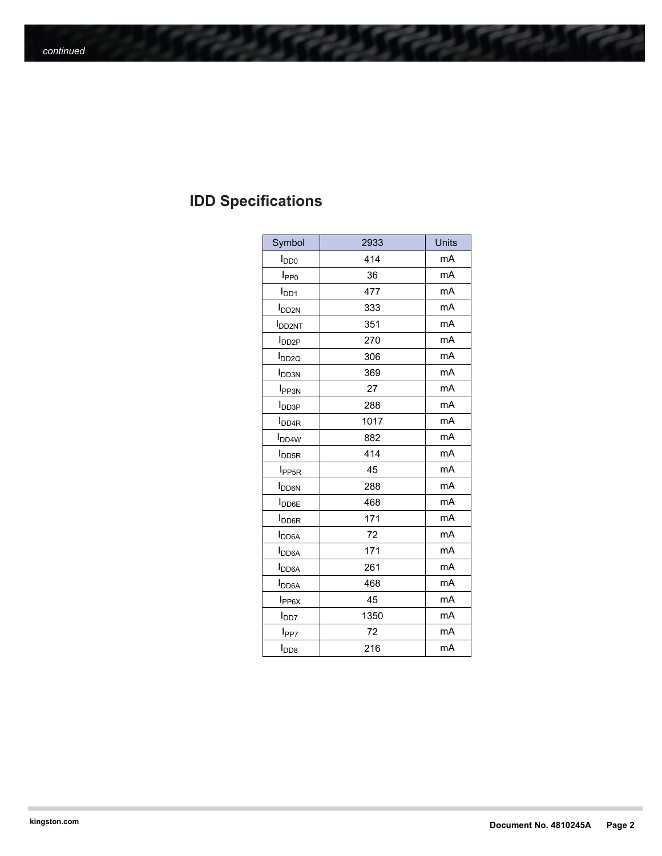# **IDD Specifications**

| Symbol                   | 2933 | Units |
|--------------------------|------|-------|
| $I_{DD0}$                | 414  | mA    |
| I <sub>PP0</sub>         | 36   | mA    |
| $I_{DD1}$                | 477  | mA    |
| <b>I</b> <sub>DD2N</sub> | 333  | mA    |
| <b>I</b> DD2NT           | 351  | mA    |
| $I_{DD2P}$               | 270  | mA    |
| I <sub>DD2Q</sub>        | 306  | mA    |
| <b>I</b> <sub>DD3N</sub> | 369  | mA    |
| <b>I</b> <sub>PP3N</sub> | 27   | mA    |
| <b>I</b> DD3P            | 288  | mA    |
| <b>I</b> <sub>DD4R</sub> | 1017 | mA    |
| <b>I</b> <sub>DD4W</sub> | 882  | mA    |
| <b>I</b> <sub>DD5R</sub> | 414  | mA    |
| I <sub>PP5R</sub>        | 45   | mA    |
| <b>I</b> <sub>DD6N</sub> | 288  | mA    |
| <b>I</b> DD6E            | 468  | mA    |
| <b>I</b> <sub>DD6R</sub> | 171  | mA    |
| <b>I</b> <sub>DD6A</sub> | 72   | mA    |
| <b>I</b> <sub>DD6A</sub> | 171  | mA    |
| <b>I</b> <sub>DD6A</sub> | 261  | mA    |
| <b>I</b> <sub>DD6A</sub> | 468  | mA    |
| $I_{PP6X}$               | 45   | mA    |
| l <sub>DD7</sub>         | 1350 | mA    |
| l <sub>PP7</sub>         | 72   | mA    |
| $I_{DD8}$                | 216  | mA    |